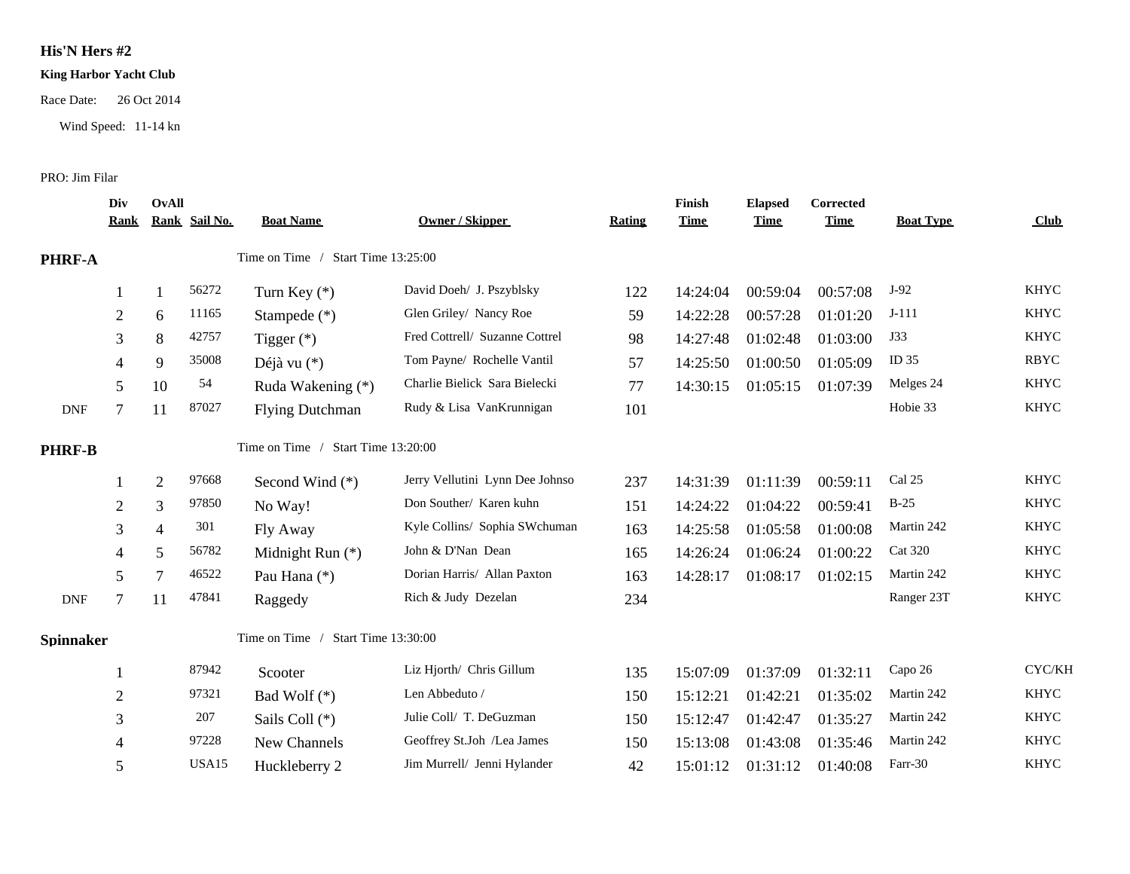## **His'N Hers #2**

## **King Harbor Yacht Club**

Race Date: 26 Oct 2014

Wind Speed: 11-14 kn

## PRO: Jim Filar

|                  | Div<br><u>Rank</u> | OvAll          | Rank Sail No. | <b>Boat Name</b>                   | <b>Owner / Skipper</b>          | <b>Rating</b> | Finish<br><b>Time</b> | <b>Elapsed</b><br><b>Time</b> | Corrected<br><b>Time</b> | <b>Boat Type</b> | Club        |
|------------------|--------------------|----------------|---------------|------------------------------------|---------------------------------|---------------|-----------------------|-------------------------------|--------------------------|------------------|-------------|
| PHRF-A           |                    |                |               | Time on Time / Start Time 13:25:00 |                                 |               |                       |                               |                          |                  |             |
|                  |                    |                | 56272         | Turn Key $(*)$                     | David Doeh/ J. Pszyblsky        | 122           | 14:24:04              | 00:59:04                      | 00:57:08                 | $J-92$           | <b>KHYC</b> |
|                  | $\overline{2}$     | 6              | 11165         | Stampede (*)                       | Glen Griley/ Nancy Roe          | 59            | 14:22:28              | 00:57:28                      | 01:01:20                 | $J-111$          | <b>KHYC</b> |
|                  | 3                  | $8\,$          | 42757         | Tigger $(*)$                       | Fred Cottrell/ Suzanne Cottrel  | 98            | 14:27:48              | 01:02:48                      | 01:03:00                 | J33              | <b>KHYC</b> |
|                  | 4                  | 9              | 35008         | Déjà vu (*)                        | Tom Payne/ Rochelle Vantil      | 57            | 14:25:50              | 01:00:50                      | 01:05:09                 | ID <sub>35</sub> | <b>RBYC</b> |
|                  | 5                  | 10             | 54            | Ruda Wakening (*)                  | Charlie Bielick Sara Bielecki   | 77            | 14:30:15              | 01:05:15                      | 01:07:39                 | Melges 24        | <b>KHYC</b> |
| <b>DNF</b>       |                    | 11             | 87027         | <b>Flying Dutchman</b>             | Rudy & Lisa VanKrunnigan        | 101           |                       |                               |                          | Hobie 33         | <b>KHYC</b> |
| <b>PHRF-B</b>    |                    |                |               | Time on Time / Start Time 13:20:00 |                                 |               |                       |                               |                          |                  |             |
|                  |                    | $\overline{2}$ | 97668         | Second Wind $(*)$                  | Jerry Vellutini Lynn Dee Johnso | 237           | 14:31:39              | 01:11:39                      | 00:59:11                 | Cal 25           | <b>KHYC</b> |
|                  | $\overline{2}$     | 3              | 97850         | No Way!                            | Don Souther/ Karen kuhn         | 151           | 14:24:22              | 01:04:22                      | 00:59:41                 | $B-25$           | <b>KHYC</b> |
|                  | 3                  | $\overline{4}$ | 301           | Fly Away                           | Kyle Collins/ Sophia SWchuman   | 163           | 14:25:58              | 01:05:58                      | 01:00:08                 | Martin 242       | <b>KHYC</b> |
|                  | 4                  | 5              | 56782         | Midnight Run (*)                   | John & D'Nan Dean               | 165           | 14:26:24              | 01:06:24                      | 01:00:22                 | <b>Cat 320</b>   | <b>KHYC</b> |
|                  | 5                  | $\overline{7}$ | 46522         | Pau Hana (*)                       | Dorian Harris/ Allan Paxton     | 163           | 14:28:17              | 01:08:17                      | 01:02:15                 | Martin 242       | <b>KHYC</b> |
| <b>DNF</b>       | 7                  | 11             | 47841         | Raggedy                            | Rich & Judy Dezelan             | 234           |                       |                               |                          | Ranger 23T       | <b>KHYC</b> |
| <b>Spinnaker</b> |                    |                |               | Time on Time / Start Time 13:30:00 |                                 |               |                       |                               |                          |                  |             |
|                  |                    |                | 87942         | Scooter                            | Liz Hjorth/ Chris Gillum        | 135           | 15:07:09              | 01:37:09                      | 01:32:11                 | Capo 26          | CYC/KH      |
|                  | $\mathbf{2}$       |                | 97321         | Bad Wolf $(*)$                     | Len Abbeduto /                  | 150           | 15:12:21              | 01:42:21                      | 01:35:02                 | Martin 242       | <b>KHYC</b> |
|                  | 3                  |                | 207           | Sails Coll (*)                     | Julie Coll/ T. DeGuzman         | 150           | 15:12:47              | 01:42:47                      | 01:35:27                 | Martin 242       | <b>KHYC</b> |
|                  | 4                  |                | 97228         | New Channels                       | Geoffrey St.Joh /Lea James      | 150           | 15:13:08              | 01:43:08                      | 01:35:46                 | Martin 242       | <b>KHYC</b> |
|                  | 5                  |                | USA15         | Huckleberry 2                      | Jim Murrell/ Jenni Hylander     | 42            | 15:01:12              | 01:31:12                      | 01:40:08                 | Farr-30          | <b>KHYC</b> |
|                  |                    |                |               |                                    |                                 |               |                       |                               |                          |                  |             |